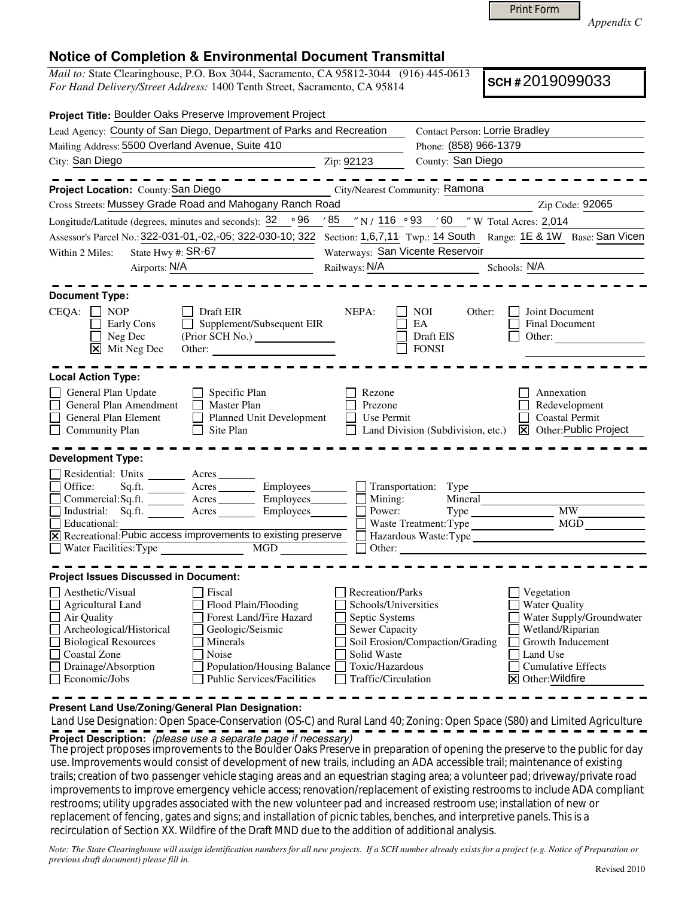Print Form

*Appendix C* 

## **Notice of Completion & Environmental Document Transmittal**

*Mail to:* State Clearinghouse, P.O. Box 3044, Sacramento, CA 95812-3044 (916) 445-0613 *For Hand Delivery/Street Address:* 1400 Tenth Street, Sacramento, CA 95814

**SCH #** 2019099033

| Project Title: Boulder Oaks Preserve Improvement Project                                                                                                                                                                                                                                                                                                                        |                                                                                                                                       |                                                                                   |                                                                                                                                                                              |
|---------------------------------------------------------------------------------------------------------------------------------------------------------------------------------------------------------------------------------------------------------------------------------------------------------------------------------------------------------------------------------|---------------------------------------------------------------------------------------------------------------------------------------|-----------------------------------------------------------------------------------|------------------------------------------------------------------------------------------------------------------------------------------------------------------------------|
| Lead Agency: County of San Diego, Department of Parks and Recreation                                                                                                                                                                                                                                                                                                            |                                                                                                                                       | <b>Contact Person: Lorrie Bradley</b>                                             |                                                                                                                                                                              |
| Mailing Address: 5500 Overland Avenue, Suite 410                                                                                                                                                                                                                                                                                                                                |                                                                                                                                       | Phone: (858) 966-1379                                                             |                                                                                                                                                                              |
| City: San Diego                                                                                                                                                                                                                                                                                                                                                                 | Zip: 92123                                                                                                                            | County: San Diego                                                                 |                                                                                                                                                                              |
|                                                                                                                                                                                                                                                                                                                                                                                 |                                                                                                                                       |                                                                                   |                                                                                                                                                                              |
| Project Location: County: San Diego                                                                                                                                                                                                                                                                                                                                             | City/Nearest Community: Ramona                                                                                                        |                                                                                   |                                                                                                                                                                              |
| Cross Streets: Mussey Grade Road and Mahogany Ranch Road                                                                                                                                                                                                                                                                                                                        |                                                                                                                                       |                                                                                   | Zip Code: 92065                                                                                                                                                              |
| Longitude/Latitude (degrees, minutes and seconds): $\frac{32}{96}$ $\frac{96}{95}$ $\frac{85}{90}$ $\frac{7}{116}$ $\frac{93}{93}$ $\frac{7}{60}$ $\frac{60}{90}$ $\frac{7}{116}$ Acres: 2,014                                                                                                                                                                                  |                                                                                                                                       |                                                                                   |                                                                                                                                                                              |
| Assessor's Parcel No.: 322-031-01,-02,-05; 322-030-10; 322 Section: 1,6,7,11 Twp.: 14 South Range: 1E & 1W Base: San Vicen                                                                                                                                                                                                                                                      |                                                                                                                                       |                                                                                   |                                                                                                                                                                              |
| State Hwy #: $SR-67$<br>Within 2 Miles:<br><u> 1980 - Johann Barbara, martxa a</u>                                                                                                                                                                                                                                                                                              | Waterways: San Vicente Reservoir                                                                                                      |                                                                                   |                                                                                                                                                                              |
| Airports: N/A                                                                                                                                                                                                                                                                                                                                                                   | Railways: N/A                                                                                                                         | Schools: N/A                                                                      |                                                                                                                                                                              |
| <b>Document Type:</b>                                                                                                                                                                                                                                                                                                                                                           |                                                                                                                                       |                                                                                   |                                                                                                                                                                              |
| $CEQA: \Box NP$<br>Draft EIR<br>Supplement/Subsequent EIR<br>Early Cons<br>Neg Dec<br>$\overline{\mathsf{x}}$ Mit Neg Dec                                                                                                                                                                                                                                                       | NEPA:                                                                                                                                 | NOI.<br>Other:<br><b>EA</b><br>Draft EIS<br><b>FONSI</b>                          | Joint Document<br>Final Document<br>Other:                                                                                                                                   |
| <b>Local Action Type:</b>                                                                                                                                                                                                                                                                                                                                                       |                                                                                                                                       |                                                                                   |                                                                                                                                                                              |
| General Plan Update<br>Specific Plan<br>General Plan Amendment<br><b>Master Plan</b><br>П<br>General Plan Element<br>Planned Unit Development<br>$\mathsf{I}$<br>Community Plan<br>$\Box$<br>Site Plan                                                                                                                                                                          | Rezone<br>Prezone<br>Use Permit                                                                                                       | Land Division (Subdivision, etc.)                                                 | Annexation<br>Redevelopment<br><b>Coastal Permit</b><br><b>X</b> Other: Public Project                                                                                       |
| <b>Development Type:</b>                                                                                                                                                                                                                                                                                                                                                        |                                                                                                                                       |                                                                                   |                                                                                                                                                                              |
| Residential: Units ________ Acres<br>Sq.ft. _________ Acres __________ Employees________<br>Office:<br>Commercial: $Sq$ .ft. $\overline{\qquad \qquad}$ Acres<br>Employees_______<br>Industrial: Sq.ft. Acres Employees<br>Г<br>Educational:<br>X Recreational: Pubic access improvements to existing preserve<br>$\overline{MGD}$<br>Water Facilities: Type                    | Mining:<br>Power:<br>Other:                                                                                                           | Transportation: Type<br>Mineral<br>Waste Treatment: Type<br>Hazardous Waste: Type | MW<br>MGD                                                                                                                                                                    |
| <b>Project Issues Discussed in Document:</b>                                                                                                                                                                                                                                                                                                                                    |                                                                                                                                       |                                                                                   |                                                                                                                                                                              |
| Aesthetic/Visual<br>Fiscal<br>$\Box$ Agricultural Land<br>Flood Plain/Flooding<br>Air Quality<br>Forest Land/Fire Hazard<br>$\Box$ Archeological/Historical<br>Geologic/Seismic<br>$\Box$<br><b>Biological Resources</b><br>Minerals<br>Coastal Zone<br>Noise<br>Drainage/Absorption<br>Population/Housing Balance<br>$\Box$ Economic/Jobs<br><b>Public Services/Facilities</b> | Recreation/Parks<br>Schools/Universities<br>Septic Systems<br>Sewer Capacity<br>Solid Waste<br>Toxic/Hazardous<br>Traffic/Circulation | Soil Erosion/Compaction/Grading                                                   | Vegetation<br><b>Water Quality</b><br>Water Supply/Groundwater<br>Wetland/Riparian<br>Growth Inducement<br>Land Use<br><b>Cumulative Effects</b><br><b>⊠</b> Other: Wildfire |

**Present Land Use/Zoning/General Plan Designation:**

 Land Use Designation: Open Space-Conservation (OS-C) and Rural Land 40; Zoning: Open Space (S80) and Limited Agriculture Project Description: (please use a separate page if necessary)

The project proposes improvements to the Boulder Oaks Preserve in preparation of opening the preserve to the public for day use. Improvements would consist of development of new trails, including an ADA accessible trail; maintenance of existing trails; creation of two passenger vehicle staging areas and an equestrian staging area; a volunteer pad; driveway/private road improvements to improve emergency vehicle access; renovation/replacement of existing restrooms to include ADA compliant restrooms; utility upgrades associated with the new volunteer pad and increased restroom use; installation of new or replacement of fencing, gates and signs; and installation of picnic tables, benches, and interpretive panels. This is a recirculation of Section XX. Wildfire of the Draft MND due to the addition of additional analysis.

*Note: The State Clearinghouse will assign identification numbers for all new projects. If a SCH number already exists for a project (e.g. Notice of Preparation or previous draft document) please fill in.*